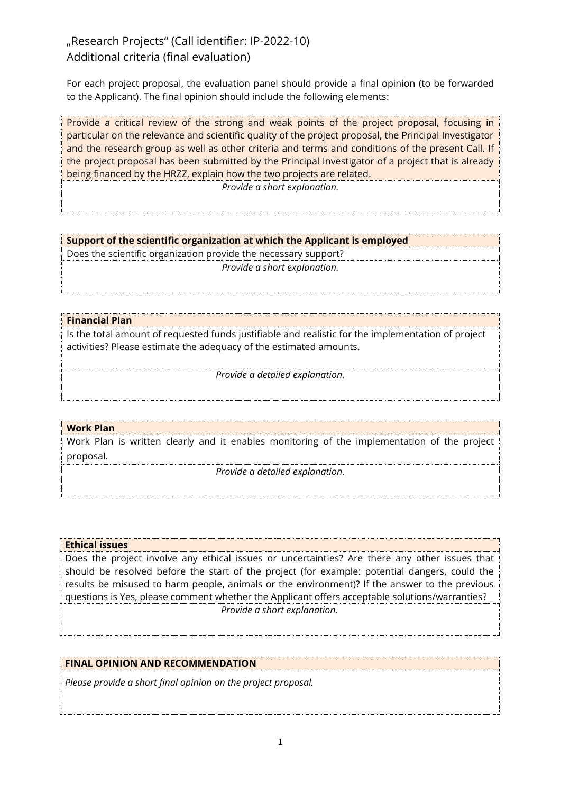# "Research Projects" (Call identifier: IP-2022-10) Additional criteria (final evaluation)

For each project proposal, the evaluation panel should provide a final opinion (to be forwarded to the Applicant). The final opinion should include the following elements:

Provide a critical review of the strong and weak points of the project proposal, focusing in particular on the relevance and scientific quality of the project proposal, the Principal Investigator and the research group as well as other criteria and terms and conditions of the present Call. If the project proposal has been submitted by the Principal Investigator of a project that is already being financed by the HRZZ, explain how the two projects are related.

*Provide a short explanation.*

### **Support of the scientific organization at which the Applicant is employed**

Does the scientific organization provide the necessary support? *Provide a short explanation.*

# **Financial Plan**

Is the total amount of requested funds justifiable and realistic for the implementation of project activities? Please estimate the adequacy of the estimated amounts.

*Provide a detailed explanation.*

#### **Work Plan**

Work Plan is written clearly and it enables monitoring of the implementation of the project proposal.

*Provide a detailed explanation.*

#### **Ethical issues**

Does the project involve any ethical issues or uncertainties? Are there any other issues that should be resolved before the start of the project (for example: potential dangers, could the results be misused to harm people, animals or the environment)? If the answer to the previous questions is Yes, please comment whether the Applicant offers acceptable solutions/warranties? *Provide a short explanation.*

# **FINAL OPINION AND RECOMMENDATION**

*Please provide a short final opinion on the project proposal.*